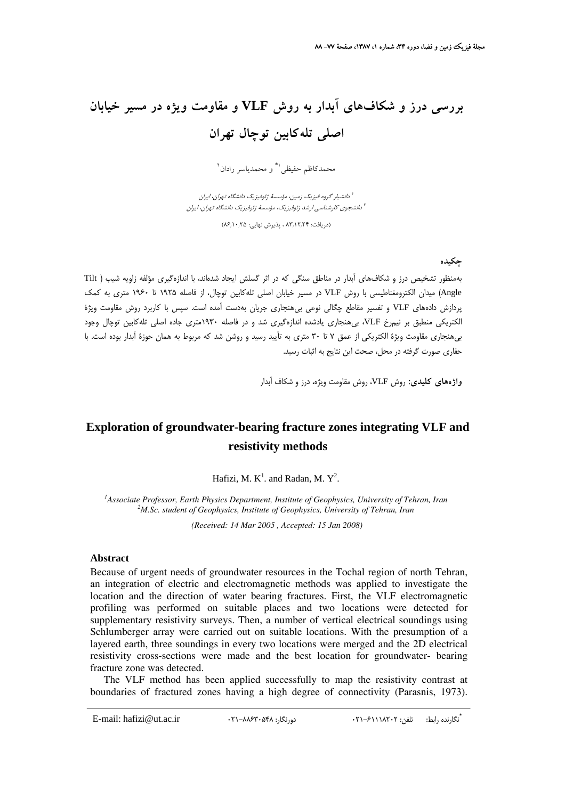# **بررسي درز و شكافهاي آبدار به روش VLF و مقاومت ويژه در مسير خيابان اصلي تلهكابين توچال تهران**

.<br>محمدكاظم حفيظي<sup>\\*</sup> و محمدياسر رادان <sup>1</sup>

دانشيار گروه فيزيك زمين، مؤسسة ژئوفيزيك دانشگاه تهران، ايران <sup>1</sup> دانشجوي كارشناسي ارشد ژئوفيزيك، مؤسسة ژئوفيزيك دانشگاه تهران، ايران <sup>2</sup>

(دريافت: 83/12/24 ، پذيرش نهايي: 86/10/25)

#### **چكيده**

بهمنظور تشخيص درز و شكافهاي آبدار در مناطق سنگي كه در اثر گسلش ايجاد شدهاند، با اندازهگيري مؤلفه زاويه شيب ( Tilt Angle (ميدان الكترومغناطيسي با روش VLF در مسير خيابان اصلي تلهكابين توچال، از فاصله 1925 تا 1960 متري به كمك پردازش دادههاي VLF و تفسير مقاطع چگالي نوعي بيهنجاري جريان بهدست آمده است. سپس با كاربرد روش مقاومت ويژة الكتريكي منطبق بر نيمرخ VLF، بيهنجاري يادشده اندازهگيري شد و در فاصله 1930متري جاده اصلي تلهكابين توچال وجود بيهنجاري مقاومت ويژة الكتريكي از عمق 7 تا 30 متري به تأييد رسيد و روشن شد كه مربوط به همان حوزة آبدار بوده است. با حفاري صورت گرفته در محل، صحت اين نتايج به اثبات رسيد.

**واژههاي كليدي:** روش VLF، روش مقاومت ويژه، درز و شكاف آبدار

### **Exploration of groundwater-bearing fracture zones integrating VLF and resistivity methods**

Hafizi, M.  $K^1$ . and Radan, M.  $Y^2$ .

<sup>1</sup> Associate Professor, Earth Physics Department, Institute of Geophysics, University of Tehran, Iran <sup>2</sup><sup>M</sup> Se, student of Ceophysics, Institute of Ceophysics, University of Tehran, Iran *M.Sc. student of Geophysics, Institute of Geophysics, University of Tehran, Iran* 

 *(Received: 14 Mar 2005 , Accepted: 15 Jan 2008)* 

#### **Abstract**

Because of urgent needs of groundwater resources in the Tochal region of north Tehran, an integration of electric and electromagnetic methods was applied to investigate the location and the direction of water bearing fractures. First, the VLF electromagnetic profiling was performed on suitable places and two locations were detected for supplementary resistivity surveys. Then, a number of vertical electrical soundings using Schlumberger array were carried out on suitable locations. With the presumption of a layered earth, three soundings in every two locations were merged and the 2D electrical resistivity cross-sections were made and the best location for groundwater- bearing fracture zone was detected.

The VLF method has been applied successfully to map the resistivity contrast at boundaries of fractured zones having a high degree of connectivity (Parasnis, 1973).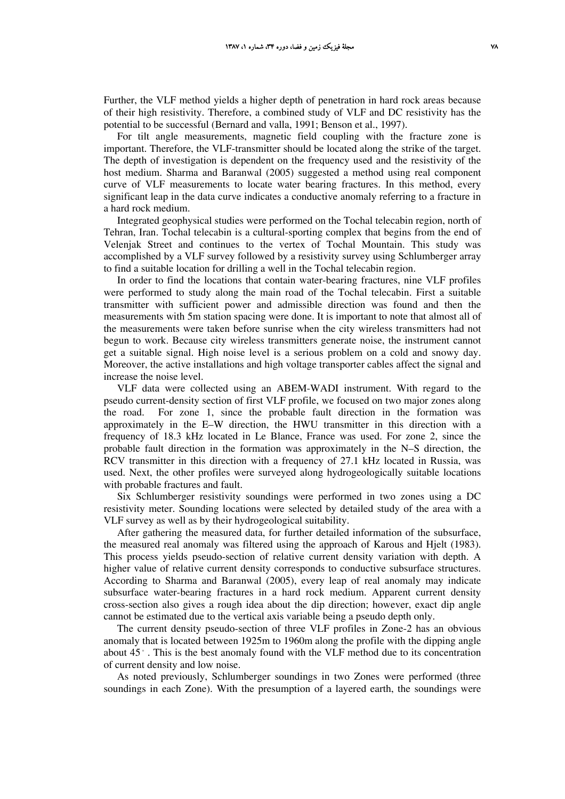Further, the VLF method yields a higher depth of penetration in hard rock areas because of their high resistivity. Therefore, a combined study of VLF and DC resistivity has the potential to be successful (Bernard and valla, 1991; Benson et al., 1997).

For tilt angle measurements, magnetic field coupling with the fracture zone is important. Therefore, the VLF-transmitter should be located along the strike of the target. The depth of investigation is dependent on the frequency used and the resistivity of the host medium. Sharma and Baranwal (2005) suggested a method using real component curve of VLF measurements to locate water bearing fractures. In this method, every significant leap in the data curve indicates a conductive anomaly referring to a fracture in a hard rock medium.

Integrated geophysical studies were performed on the Tochal telecabin region, north of Tehran, Iran. Tochal telecabin is a cultural-sporting complex that begins from the end of Velenjak Street and continues to the vertex of Tochal Mountain. This study was accomplished by a VLF survey followed by a resistivity survey using Schlumberger array to find a suitable location for drilling a well in the Tochal telecabin region.

In order to find the locations that contain water-bearing fractures, nine VLF profiles were performed to study along the main road of the Tochal telecabin. First a suitable transmitter with sufficient power and admissible direction was found and then the measurements with 5m station spacing were done. It is important to note that almost all of the measurements were taken before sunrise when the city wireless transmitters had not begun to work. Because city wireless transmitters generate noise, the instrument cannot get a suitable signal. High noise level is a serious problem on a cold and snowy day. Moreover, the active installations and high voltage transporter cables affect the signal and increase the noise level.

VLF data were collected using an ABEM-WADI instrument. With regard to the pseudo current-density section of first VLF profile, we focused on two major zones along the road. For zone 1, since the probable fault direction in the formation was approximately in the E–W direction, the HWU transmitter in this direction with a frequency of 18.3 kHz located in Le Blance, France was used. For zone 2, since the probable fault direction in the formation was approximately in the N–S direction, the RCV transmitter in this direction with a frequency of 27.1 kHz located in Russia, was used. Next, the other profiles were surveyed along hydrogeologically suitable locations with probable fractures and fault.

Six Schlumberger resistivity soundings were performed in two zones using a DC resistivity meter. Sounding locations were selected by detailed study of the area with a VLF survey as well as by their hydrogeological suitability.

After gathering the measured data, for further detailed information of the subsurface, the measured real anomaly was filtered using the approach of Karous and Hjelt (1983). This process yields pseudo-section of relative current density variation with depth. A higher value of relative current density corresponds to conductive subsurface structures. According to Sharma and Baranwal (2005), every leap of real anomaly may indicate subsurface water-bearing fractures in a hard rock medium. Apparent current density cross-section also gives a rough idea about the dip direction; however, exact dip angle cannot be estimated due to the vertical axis variable being a pseudo depth only.

The current density pseudo-section of three VLF profiles in Zone-2 has an obvious anomaly that is located between 1925m to 1960m along the profile with the dipping angle about  $45^\circ$ . This is the best anomaly found with the VLF method due to its concentration of current density and low noise.

As noted previously, Schlumberger soundings in two Zones were performed (three soundings in each Zone). With the presumption of a layered earth, the soundings were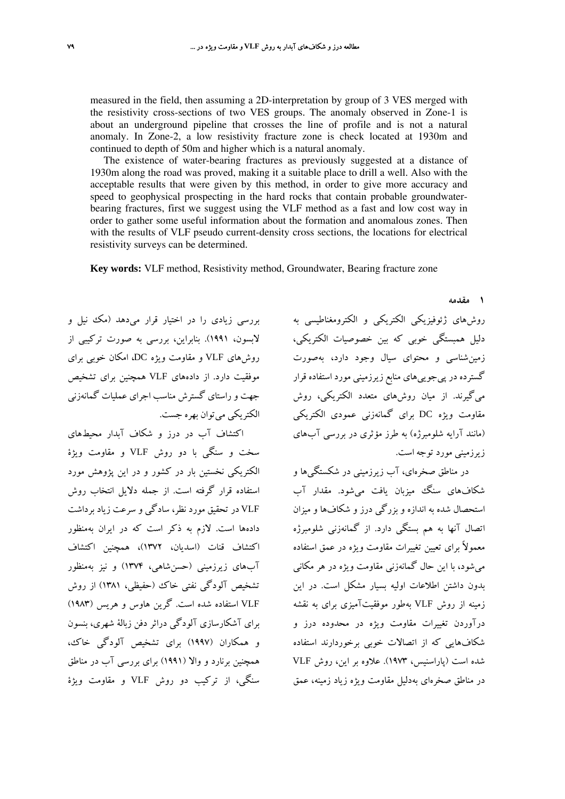measured in the field, then assuming a 2D-interpretation by group of 3 VES merged with the resistivity cross-sections of two VES groups. The anomaly observed in Zone-1 is about an underground pipeline that crosses the line of profile and is not a natural anomaly. In Zone-2, a low resistivity fracture zone is check located at 1930m and continued to depth of 50m and higher which is a natural anomaly.

The existence of water-bearing fractures as previously suggested at a distance of 1930m along the road was proved, making it a suitable place to drill a well. Also with the acceptable results that were given by this method, in order to give more accuracy and speed to geophysical prospecting in the hard rocks that contain probable groundwaterbearing fractures, first we suggest using the VLF method as a fast and low cost way in order to gather some useful information about the formation and anomalous zones. Then with the results of VLF pseudo current-density cross sections, the locations for electrical resistivity surveys can be determined.

**Key words:** VLF method, Resistivity method, Groundwater, Bearing fracture zone

بررسي زيادي را در اختيار قرار ميدهد (مك نيل و لابسون، 1991). بنابراين، بررسي به صورت تركيبي از روشهاي VLF و مقاومت ويژه DC، امكان خوبي براي موفقيت دارد. از دادههاي VLF همچنين براي تشخيص جهت و راستاي گسترش مناسب اجراي عمليات گمانهزني الكتريكي ميتوان بهره جست.

اكتشاف آب در درز و شكاف آبدار محيطهاي سخت و سنگي با دو روش VLF و مقاومت ويژة الكتريكي نخستين بار در كشور و در اين پژوهش مورد استفاده قرار گرفته است. از جمله دلايل انتخاب روش VLF در تحقيق مورد نظر، سادگي و سرعت زياد برداشت دادهها است. لازم به ذكر است كه در ايران بهمنظور اكتشاف قنات (اسديان، 1372)، همچنين اكتشاف آبهاي زيرزميني (حسنشاهي، 1374) و نيز بهمنظور تشخيص آلودگي نفتي خاك (حفيظي، 1381) از روش VLF استفاده شده است. گرين هاوس و هريس (1983) براي آشكارسازي آلودگي دراثر دفن زبالة شهري، بنسون و همكاران (1997) براي تشخيص آلودگي خاك، همچنين برنارد و والا (1991) براي بررسي آب در مناطق سنگي، از تركيب دو روش VLF و مقاومت ويژة

روشهاي ژئوفيزيكي الكتريكي و الكترومغناطيسي به دليل همبستگي خوبي كه بين خصوصيات الكتريكي، زمينشناسي و محتواي سيال وجود دارد، بهصورت گسترده در پيجوييهاي منابع زيرزميني مورد استفاده قرار ميگيرند. از ميان روشهاي متعدد الكتريكي، روش مقاومت ويژه DC براي گمانهزني عمودي الكتريكي (مانند آرايه شلومبرژه) به طرز مؤثري در بررسي آبهاي زيرزميني مورد توجه است.

در مناطق صخرهاي، آب زيرزميني در شكستگيها و شكافهاي سنگ ميزبان يافت ميشود. مقدار آب استحصال شده به اندازه و بزرگي درز و شكافها و ميزان اتصال آنها به هم بستگي دارد. از گمانهزني شلومبرژه معمولاً براي تعيين تغييرات مقاومت ويژه در عمق استفاده ميشود، با اين حال گمانهزني مقاومت ويژه در هر مكاني بدون داشتن اطلاعات اوليه بسيار مشكل است. در اين زمينه از روش VLF بهطور موفقيتآميزي براي به نقشه درآوردن تغييرات مقاومت ويژه در محدوده درز و شكافهايي كه از اتصالات خوبي برخوردارند استفاده شده است (پاراسنيس، 1973). علاوه بر اين، روش VLF در مناطق صخرهاي بهدليل مقاومت ويژه زياد زمينه، عمق

**1 مقدمه**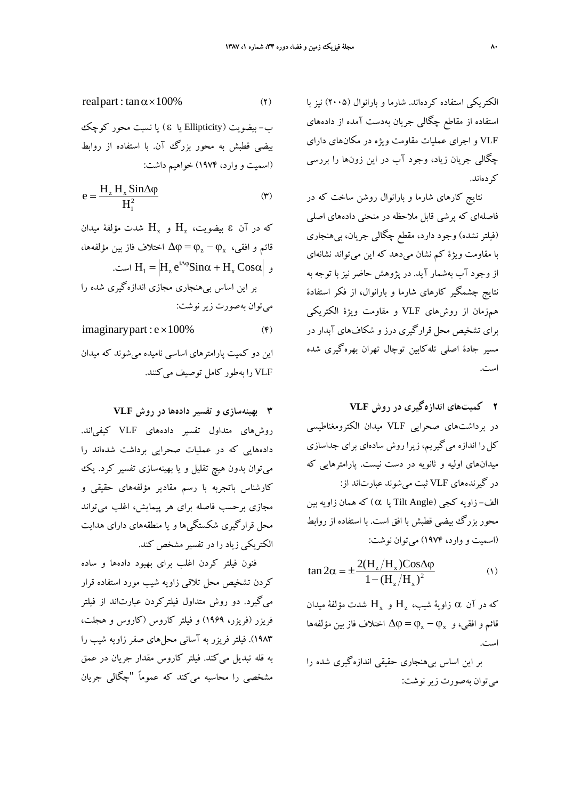الكتريكي استفاده كردهاند. شارما و بارانوال (2005) نيز با استفاده از مقاطع چگالي جريان بهدست آمده از دادههاي VLF و اجراي عمليات مقاومت ويژه در مكانهاي داراي چگالي جريان زياد، وجود آب در اين زونها را بررسي كردهاند.

نتايج كارهاي شارما و بارانوال روشن ساخت كه در فاصلهاي كه پرشي قابل ملاحظه در منحني دادههاي اصلي (فيلتر نشده) وجود دارد، مقطع چگالي جريان، بيهنجاري با مقاومت ويژة كم نشان ميدهد كه اين ميتواند نشانهاي از وجود آب بهشمار آيد. در پژوهش حاضر نيز با توجه به نتايج چشمگير كارهاي شارما و بارانوال، از فكر استفادة همزمان از روشهاي VLF و مقاومت ويژة الكتريكي براي تشخيص محل قرارگيري درز و شكافهاي آبدار در مسير جادة اصلي تلهكابين توچال تهران بهرهگيري شده است.

**2 كميتهاي اندازهگيري در روش VLF**  در برداشتهاي صحرايي VLF ميدان الكترومغناطيسي كل را اندازه مي گيريم، زيرا روش سادهاي براي جداسازي ميدانهاي اوليه و ثانويه در دست نيست. پارامترهايي كه در گيرندههاي VLF ثبت ميشوند عبارتاند از: الف- زاويه كجي (Angle Tilt يا α (كه همان زاويه بين محور بزرگ بيضي قطبش با افق است. با استفاده از روابط (اسميت و وارد، 1974) ميتوان نوشت:

$$
\tan 2\alpha = \pm \frac{2(H_z/H_x) \cos \Delta \varphi}{1 - (H_z/H_x)^2}
$$
 (1)

که در آن  $\alpha$  زاويهٔ شيب،  $\mathrm{H}_x$  و  $\mathrm{H}_x$  شدت مؤلفهٔ ميدان فائم و افقي، و  $\Phi_x - \phi_x = \Delta \varphi = 0$  اختلاف فاز بين مؤلفهها است.

بر اين اساس بيهنجاري حقيقي اندازهگيري شده را ميتوان بهصورت زير نوشت:

$$
real part: \tan \alpha \times 100\% \tag{1}
$$

ب- بيضويت (Ellipticity يا S ) يا نسبت محور كوچك بيضي قطبش به محور بزرگ آن. با استفاده از روابط (اسميت و وارد، 1974) خواهيم داشت:

$$
e = \frac{H_z H_x \sin \Delta \varphi}{H_1^2}
$$
 (\*)

که در آن ٤ بيضويت،  $\mathrm{H}_{x}$  و  $\mathrm{H}_{x}$  شدت مؤلفهٔ ميدان اختلاف فاز بين مؤلفهها، ϕ<sup>x</sup> − ϕ<sup>z</sup> = ϕ ∆قائم و افقي، ست.  $\mathrm{H}_1 = \left| \mathrm{H}_{\mathrm{z}} \, \mathrm{e}^{\mathrm{i} \Delta \phi} \mathrm{S} \mathrm{in} \alpha + \mathrm{H}_{\mathrm{x}} \, \mathrm{Cos} \alpha \right|$  است بر اين اساس بيهنجاري مجازي اندازهگيري شده را ميتوان بهصورت زير نوشت:

 $imaginary part : e \times 100\%$  (\*) اين دو كميت پارامترهاي اساسي ناميده ميشوند كه ميدان VLF را بهطور كامل توصيف ميكنند.

**3 بهينهسازي و تفسير دادهها در روش VLF** روشهاي متداول تفسير دادههاي VLF كيفياند. دادههايي كه در عمليات صحرايي برداشت شدهاند را ميتوان بدون هيچ تقليل و يا بهينهسازي تفسير كرد. يك كارشناس باتجربه با رسم مقادير مؤلفههاي حقيقي و مجازي برحسب فاصله براي هر پيمايش، اغلب ميتواند محل قرارگيري شكستگيها و يا منطقههاي داراي هدايت الكتريكي زياد را در تفسير مشخص كند.

فنون فيلتر كردن اغلب براي بهبود دادهها و ساده كردن تشخيص محل تلاقي زاويه شيب مورد استفاده قرار ميگيرد. دو روش متداول فيلتركردن عبارتاند از فيلتر فريزر (فريزر، 1969) و فيلتر كاروس (كاروس و هجلت، 1983). فيلتر فريزر به آساني محلهاي صفر زاويه شيب را به قله تبديل ميكند. فيلتر كاروس مقدار جريان در عمق مشخصي را محاسبه ميكند كه عموماً "چگالي جريان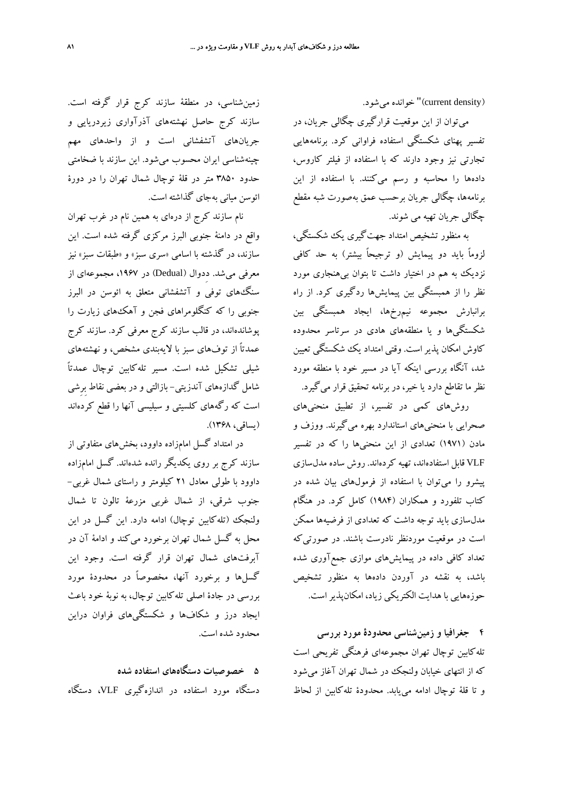(current density) خوانده مي شود.

ميتوان از اين موقعيت قرارگيري چگالي جريان، در تفسير پهناي شكستگي استفاده فراواني كرد. برنامههايي تجارتي نيز وجود دارند كه با استفاده از فيلتر كاروس، دادهها را محاسبه و رسم ميكنند. با استفاده از اين برنامهها، چگالي جريان برحسب عمق بهصورت شبه مقطع چگالي جريان تهيه مي شوند.

به منظور تشخيص امتداد جهتگيري يك شكستگي، لزوماً بايد دو پيمايش (و ترجيحاً بيشتر) به حد كافي نزديك به هم در اختيار داشت تا بتوان بيهنجاري مورد نظر را از همبستگي بين پيمايشها ردگيري كرد. از راه برانبارش مجموعه نيمرخها، ايجاد همبستگي بين شكستگيها و يا منطقههاي هادي در سرتاسر محدوده كاوش امكان پذيراست. وقتي امتداد يك شكستگي تعيين شد، آنگاه بررسي اينكه آيا در مسير خود با منطقه مورد نظر ما تقاطع دارد يا خير، در برنامه تحقيق قرار ميگيرد.

روشهاي كمي در تفسير، از تطبيق منحنيهاي صحرايي با منحنيهاي استاندارد بهره ميگيرند. ووزف و مادن (1971) تعدادي از اين منحنيها را كه در تفسير VLF قابل استفادهاند، تهيه كردهاند. روش ساده مدلسازي پيشرو را ميتوان با استفاده از فرمولهاي بيان شده در كتاب تلفورد و همكاران (1984) كامل كرد. در هنگام مدلسازي بايد توجه داشت كه تعدادي از فرضيهها ممكن است در موقعيت موردنظر نادرست باشند. در صورتيكه تعداد كافي داده در پيمايشهاي موازي جمعآوري شده باشد، به نقشه در آوردن دادهها به منظور تشخيص حوزههايي با هدايت الكتريكي زياد، امكانپذيراست.

**4 جغرافيا و زمينشناسي محدودة مورد بررسي**  تلهكابين توچال تهران مجموعهاي فرهنگي تفريحي است كه از انتهاي خيابان ولنجك در شمال تهران آغاز ميشود و تا قلة توچال ادامه مييابد. محدودة تلهكابين از لحاظ

زمينشناسي، در منطقة سازند كرج قرار گرفته است. سازند كرج حاصل نهشتههاي آذرآواري زيردريايي و جريانهاي آتشفشاني است و از واحدهاي مهم چينهشناسي ايران محسوب ميشود. اين سازند با ضخامتي حدود 3850 متر در قلة توچال شمال تهران را در دورة ائوسن مياني بهجاي گذاشته است.

نام سازند كرج از درهاي به همين نام در غرب تهران واقع در دامنة جنوبي البرز مركزي گرفته شده است. اين سازند، در گذشته با اسامي «سري سبز» و «طبقات سبز» نيز معرفي مي شد. دِدوال (Dedual) در ۱۹۶۷، مجموعهاي از سنگهاي توفي و آتشفشاني متعلق به ائوسن در البرز جنوبي را كه كنگلومراهاي فجن و آهكهاي زيارت را پوشاندهاند، در قالب سازند كرج معرفي كرد. سازند كرج عمدتاً از توفهاي سبز با لايهبندي مشخص، و نهشتههاي شيلي تشكيل شده است. مسير تلهكابين توچال عمدتاً شامل گدازههاي آندزيتي- بازالتي و در بعضي نقاط بِرِشي است كه رگههاي كلسيتي و سيليسي آنها را قطع كردهاند (يساقي، 1368).

در امتداد گسل امامزاده داوود، بخشهاي متفاوتي از سازند كرج بر روي يكديگر رانده شدهاند. گسل امامزاده داوود با طولي معادل 21 كيلومتر و راستاي شمال غربي- جنوب شرقي، از شمال غربي مزرعة تالون تا شمال ولنجك (تلهكابين توچال) ادامه دارد. اين گسل در اين محل به گسل شمال تهران برخورد ميكند و ادامة آن در آبرفتهاي شمال تهران قرار گرفته است. وجود اين گسلها و برخورد آنها، مخصوصاً در محدودة مورد بررسي در جادة اصلي تلهكابين توچال، به نوبة خود باعث ايجاد درز و شكافها و شكستگيهاي فراوان دراين محدود شده است.

**5 خصوصيات دستگاههاي استفاده شده**  دستگاه مورد استفاده در اندازهگيري VLF، دستگاه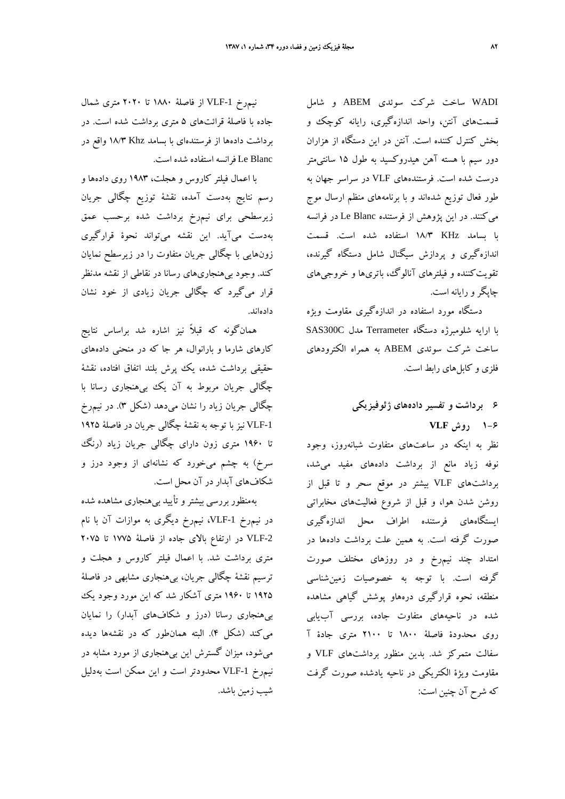WADI ساخت شركت سوئدي ABEM و شامل قسمتهاي آنتن، واحد اندازهگيري، رايانه كوچك و بخش كنترل كننده است. آنتن در اين دستگاه از هزاران دور سيم با هسته آهن هيدروكسيد به طول 15 سانتيمتر درست شده است. فرستندههاي VLF در سراسر جهان به طور فعال توزيع شدهاند و با برنامههاي منظم ارسال موج ميكنند. در اين پژوهش از فرستنده Blanc Le در فرانسه با بسامد KHz 18/3 استفاده شده است. قسمت اندازهگيري و پردازش سيگنال شامل دستگاه گيرنده، تقويتكننده و فيلترهاي آنالوگ، باتريها و خروجيهاي چاپگرو رايانه است.

دستگاه مورد استفاده در اندازهگيري مقاومت ويژه با ارايه شلومبرژه دستگاه Terrameter مدل C300SAS ساخت شركت سوئدي ABEM به همراه الكترودهاي فلزي و كابلهاي رابط است.

## **6 برداشت و تفسير دادههاي ژئوفيزيكي 1-6 روش VLF**

نظر به اينكه در ساعتهاي متفاوت شبانهروز، وجود نوفه زياد مانع از برداشت دادههاي مفيد ميشد، برداشتهاي VLF بيشتر در موقع سحر و تا قبل از روشن شدن هوا، و قبل از شروع فعاليتهاي مخابراتي ايستگاههاي فرستنده اطراف محل اندازهگيري صورت گرفته است. به همين علت برداشت دادهها در امتداد چند نيمرخ و در روزهاي مختلف صورت گرفته است. با توجه به خصوصيات زمينشناسي منطقه، نحوه قرارگيري درههاو پوشش گياهي مشاهده شده در ناحيههاي متفاوت جاده، بررسي آبيابي روي محدودة فاصلة 1800 تا 2100 متري جادة آ سفالت متمركز شد. بدين منظور برداشتهاي VLF و مقاومت ويژة الكتريكي در ناحيه يادشده صورت گرفت كه شرح آن چنين است:

نيمرخ -1VLF از فاصلة 1880 تا 2020 متري شمال جاده با فاصلة قرائتهاي 5 متري برداشت شده است. در برداشت دادهها از فرستندهاي با بسامد Khz 18/3 واقع در Blanc Le فرانسه استفاده شده است.

با اعمال فيلتر كاروس و هجلت، 1983 روي دادهها و رسم نتايج بهدست آمده، نقشة توزيع چگالي جريان زيرسطحي براي نيمرخ برداشت شده برحسب عمق بهدست ميآيد. اين نقشه ميتواند نحوة قرارگيري زونهايي با چگالي جريان متفاوت را در زيرسطح نمايان كند. وجود بيهنجاريهاي رسانا در نقاطي از نقشه مدنظر قرار ميگيرد كه چگالي جريان زيادي از خود نشان دادهاند.

همانگونه كه قبلاً نيز اشاره شد براساس نتايج كارهاي شارما و بارانوال، هر جا كه در منحني دادههاي حقيقي برداشت شده، يك پرش بلند اتفاق افتاده، نقشة چگالي جريان مربوط به آن يك بيهنجاري رسانا با چگالي جريان زياد را نشان ميدهد (شكل 3). در نيمرخ -1VLF نيز با توجه به نقشة چگالي جريان در فاصلة 1925 تا 1960 متري زون داراي چگالي جريان زياد (رنگ سرخ) به چشم ميخورد كه نشانهاي از وجود درز و شكافهاي آبدار در آن محل است.

بهمنظور بررسي بيشتر و تأييد بيهنجاري مشاهده شده در نيمرخ -1VLF، نيمرخ ديگري به موازات آن با نام -2VLF در ارتفاع بالاي جاده از فاصلة 1775 تا 2075 متري برداشت شد. با اعمال فيلتر كاروس و هجلت و ترسيم نقشة چگالي جريان، بيهنجاري مشابهي در فاصلة 1925 تا 1960 متري آشكار شد كه اين مورد وجود يك بيهنجاري رسانا (درز و شكافهاي آبدار) را نمايان ميكند (شكل 4). البته همانطور كه در نقشهها ديده ميشود، ميزان گسترش اين بيهنجاري از مورد مشابه در نيمرخ -1VLF محدودتر است و اين ممكن است بهدليل شيب زمين باشد.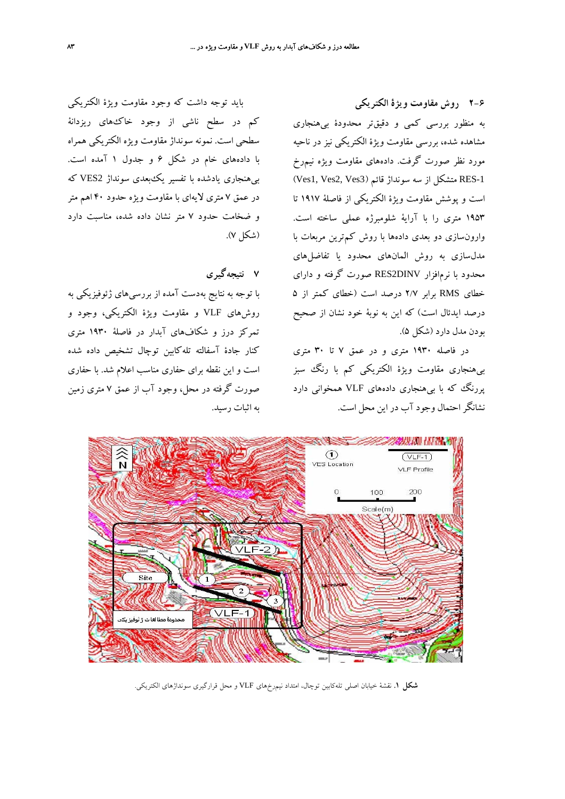**2-6 روش مقاومت ويژة الكتريكي**  به منظور بررسي كمي و دقيقتر محدودة بيهنجاري مشاهده شده، بررسي مقاومت ويژة الكتريكي نيز در ناحيه مورد نظر صورت گرفت. دادههاي مقاومت ويژه نيمرخ RES-1 متشكل از سه سونداژ قائم (2Ves1, Ves2, Ves متشكل است و پوشش مقاومت ويژة الكتريكي از فاصلة 1917 تا 1953 متري را با آراية شلومبرژه عملي ساخته است. وارونسازي دو بعدي دادهها با روش كمترين مربعات با مدلسازي به روش المانهاي محدود يا تفاضلهاي محدود با نرمافزار DINV2RES صورت گرفته و داراي خطاي RMS برابر 2/7 درصد است (خطاي كمتر از 5 درصد ايدئال است) كه اين به نوبة خود نشان از صحيح بودن مدل دارد (شكل 5).

در فاصله 1930 متري و در عمق 7 تا 30 متري بيهنجاري مقاومت ويژة الكتريكي كم با رنگ سبز پررنگ كه با بيهنجاري دادههاي VLF همخواني دارد نشانگراحتمال وجود آب در اين محل است.

بايد توجه داشت كه وجود مقاومت ويژة الكتريكي كم در سطح ناشي از وجود خاكهاي ريزدانة سطحي است. نمونه سونداژ مقاومت ويژه الكتريكي همراه با دادههاي خام در شكل 6 و جدول 1 آمده است. بيهنجاري يادشده با تفسير يكبعدي سونداژ 2VES كه در عمق 7 متري لايهاي با مقاومت ويژه حدود 40 اهم متر و ضخامت حدود 7 متر نشان داده شده، مناسبت دارد (شكل 7).

**7 نتيجهگيري** 

با توجه به نتايج بهدست آمده از بررسيهاي ژئوفيزيكي به روشهاي VLF و مقاومت ويژة الكتريكي، وجود و تمركز درز و شكافهاي آبدار در فاصلة 1930 متري كنار جادة آسفالته تلهكابين توچال تشخيص داده شده است و اين نقطه براي حفاري مناسب اعلام شد. با حفاري صورت گرفته در محل، وجود آب از عمق 7 متري زمين به اثبات رسيد.



**شكل .1** نقشة خيابان اصلي تلهكابين توچال، امتداد نيمرخهاي VLF و محل قرارگيري سونداژهاي الكتريكي.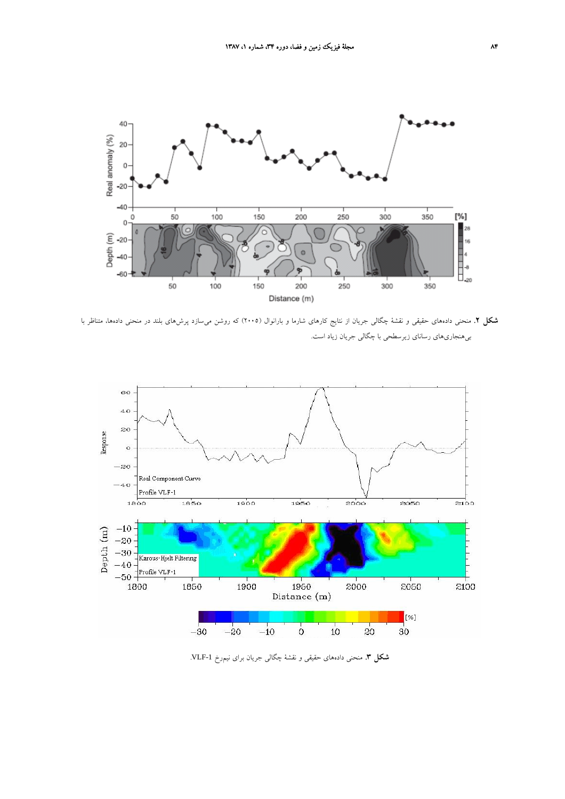

**شكل .2** منحني دادههاي حقيقي و نقشة چگالي جريان از نتايج كارهاي شارما و بارانوال (2005) كه روشن ميسازد پرشهاي بلند در منحني دادهها، متناظر با بيهنجاريهاي رساناي زيرسطحي با چگالي جريان زياد است.



**شكل .3** منحني دادههاي حقيقي و نقشة چگالي جريان براي نيمرخ -1VLF.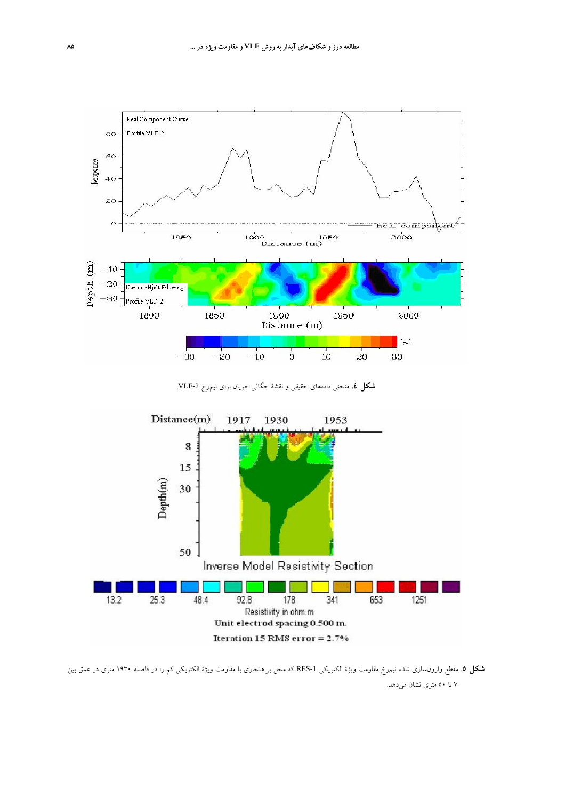

**شكل .4** منحني دادههاي حقيقي و نقشة چگالي جريان براي نيمرخ -2VLF.



**شكل .5** مقطع وارونسازي شده نيمرخ مقاومت ويژة الكتريكي -1RES كه محل بيهنجاري با مقاومت ويژة الكتريكي كم را در فاصله 1930 متري در عمق بين 7 تا 50 متري نشان ميدهد.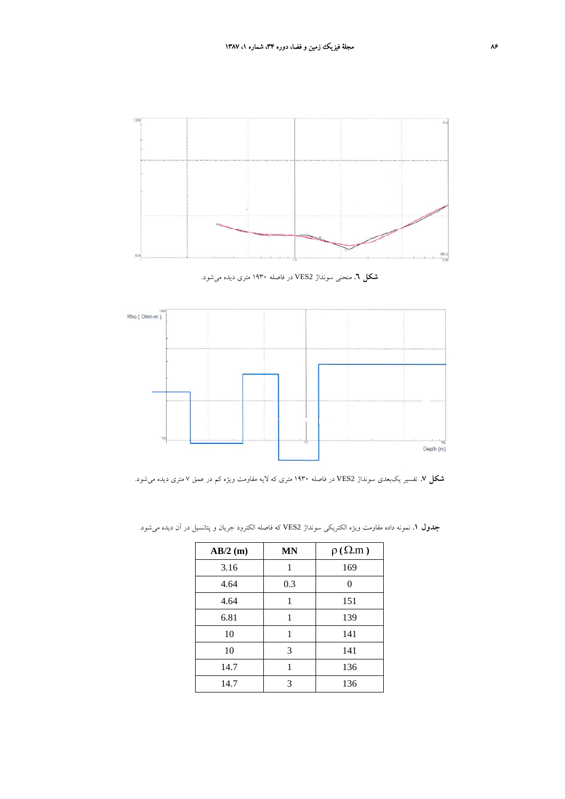

**شكل .6** منحني سونداژ 2VES در فاصله 1930 متري ديده ميشود.



**شكل .7** تفسير يكبعدي سونداژ 2VES در فاصله 1930 متري كه لايه مقاومت ويژه كم در عمق 7 متري ديده ميشود.

| $AB/2$ (m) | <b>MN</b> | $\rho(\Omega,m)$ |
|------------|-----------|------------------|
| 3.16       | 1         | 169              |
| 4.64       | 0.3       | 0                |
| 4.64       | 1         | 151              |
| 6.81       | 1         | 139              |
| 10         | 1         | 141              |
| 10         | 3         | 141              |
| 14.7       |           | 136              |
| 14.7       | 3         | 136              |

**جدول .1** نمونه داده مقاومت ويژه الكتريكي سونداژ 2VES كه فاصله الكترود جريان و پتانسيل در آن ديده ميشود.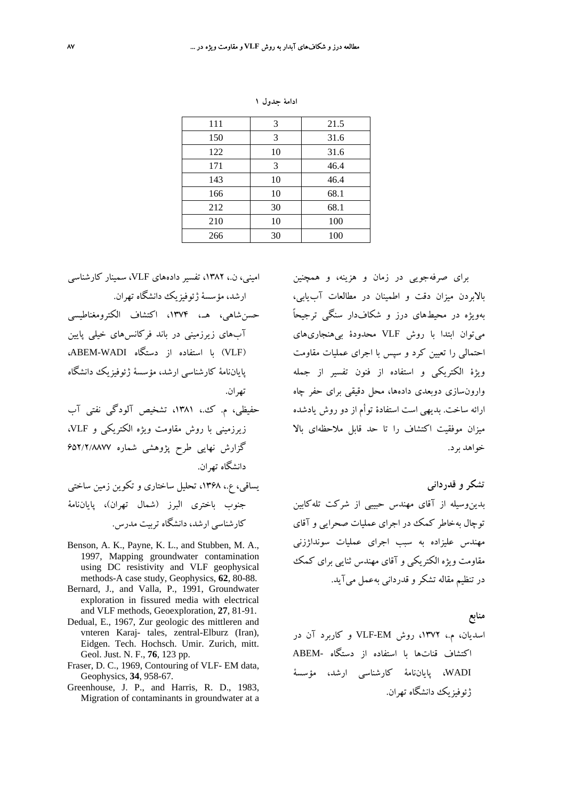| 111 | 3  | 21.5 |
|-----|----|------|
| 150 | 3  | 31.6 |
| 122 | 10 | 31.6 |
| 171 | 3  | 46.4 |
| 143 | 10 | 46.4 |
| 166 | 10 | 68.1 |
| 212 | 30 | 68.1 |
| 210 | 10 | 100  |
| 266 | 30 | 100  |

| ادامهٔ جدول ۱ |  |
|---------------|--|
|---------------|--|

براي صرفهجويي در زمان و هزينه، و همچنين بالابردن ميزان دقت و اطمينان در مطالعات آبيابي، بهويژه در محيطهاي درز و شكافدار سنگي ترجيحاً ميتوان ابتدا با روش VLF محدودة بيهنجاريهاي احتمالي را تعيين كرد و سپس با اجراي عمليات مقاومت ويژة الكتريكي و استفاده از فنون تفسير از جمله وارونسازي دوبعدي دادهها، محل دقيقي براي حفر چاه ارائه ساخت. بديهي است استفادة توأم از دو روش يادشده ميزان موفقيت اكتشاف را تا حد قابل ملاحظهاي بالا خواهد برد.

**تشكر و قدرداني**  بدينوسيله از آقاي مهندس حبيبي از شركت تلهكابين توچال بهخاطر كمك در اجراي عمليات صحرايي و آقاي مهندس عليزاده به سبب اجراي عمليات سونداژزني مقاومت ويژه الكتريكي و آقاي مهندس ثنايي براي كمك در تنظيم مقاله تشكرو قدرداني بهعمل ميآيد.

**منابع** 

اسديان، م،. ،1372 روش EM-VLF و كاربرد آن در اكتشاف قناتها با استفاده از دستگاه -ABEM WADI، پاياننامة كارشناسي ارشد، مؤسسة ژئوفيزيك دانشگاه تهران.

اميني، ن،. ،1382 تفسير دادههاي VLF، سمينار كارشناسي ارشد، مؤسسة ژئوفيزيك دانشگاه تهران.

- حسنشاهي، هـ،. ،1374 اكتشاف الكترومغناطيسي آبهاي زيرزميني در باند فركانسهاي خيلي پايين (VLF (با استفاده از دستگاه WADI-ABEM، پاياننامة كارشناسي ارشد، مؤسسة ژئوفيزيك دانشگاه تهران.
- حفيظي، م. ك،. ،1381 تشخيص آلودگي نفتي آب زيرزميني با روش مقاومت ويژه الكتريكي و VLF، گزارش نهايي طرح پژوهشي شماره 652/2/8877 دانشگاه تهران.
- يساقي، ع،. ،1368 تحليل ساختاري و تكوين زمين ساختي جنوب باختري البرز (شمال تهران)، پاياننامة كارشناسي ارشد، دانشگاه تربيت مدرس.
- Benson, A. K., Payne, K. L., and Stubben, M. A., 1997, Mapping groundwater contamination using DC resistivity and VLF geophysical methods-A case study, Geophysics, **62**, 80-88.
- Bernard, J., and Valla, P., 1991, Groundwater exploration in fissured media with electrical and VLF methods, Geoexploration, **27**, 81-91.
- Dedual, E., 1967, Zur geologic des mittleren and vnteren Karaj- tales, zentral-Elburz (Iran), Eidgen. Tech. Hochsch. Umir. Zurich, mitt. Geol. Just. N. F., **76**, 123 pp.
- Fraser, D. C., 1969, Contouring of VLF- EM data, Geophysics, **34**, 958-67.
- Greenhouse, J. P., and Harris, R. D., 1983, Migration of contaminants in groundwater at a